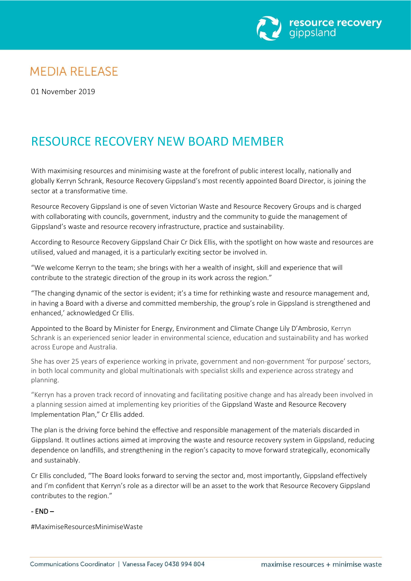

## **MEDIA RELEASE**

01 November 2019

# RESOURCE RECOVERY NEW BOARD MEMBER

With maximising resources and minimising waste at the forefront of public interest locally, nationally and globally Kerryn Schrank, Resource Recovery Gippsland's most recently appointed Board Director, is joining the sector at a transformative time.

Resource Recovery Gippsland is one of seven Victorian Waste and Resource Recovery Groups and is charged with collaborating with councils, government, industry and the community to guide the management of Gippsland's waste and resource recovery infrastructure, practice and sustainability.

According to Resource Recovery Gippsland Chair Cr Dick Ellis, with the spotlight on how waste and resources are utilised, valued and managed, it is a particularly exciting sector be involved in.

"We welcome Kerryn to the team; she brings with her a wealth of insight, skill and experience that will contribute to the strategic direction of the group in its work across the region."

"The changing dynamic of the sector is evident; it's a time for rethinking waste and resource management and, in having a Board with a diverse and committed membership, the group's role in Gippsland is strengthened and enhanced,' acknowledged Cr Ellis.

Appointed to the Board by Minister for Energy, Environment and Climate Change Lily D'Ambrosio, Kerryn Schrank is an experienced senior leader in environmental science, education and sustainability and has worked across Europe and Australia.

She has over 25 years of experience working in private, government and non-government 'for purpose' sectors, in both local community and global multinationals with specialist skills and experience across strategy and planning.

"Kerryn has a proven track record of innovating and facilitating positive change and has already been involved in a planning session aimed at implementing key priorities of the Gippsland Waste and Resource Recovery Implementation Plan," Cr Ellis added.

The plan is the driving force behind the effective and responsible management of the materials discarded in Gippsland. It outlines actions aimed at improving the waste and resource recovery system in Gippsland, reducing dependence on landfills, and strengthening in the region's capacity to move forward strategically, economically and sustainably.

Cr Ellis concluded, "The Board looks forward to serving the sector and, most importantly, Gippsland effectively and I'm confident that Kerryn's role as a director will be an asset to the work that Resource Recovery Gippsland contributes to the region."

#### - END –

#MaximiseResourcesMinimiseWaste